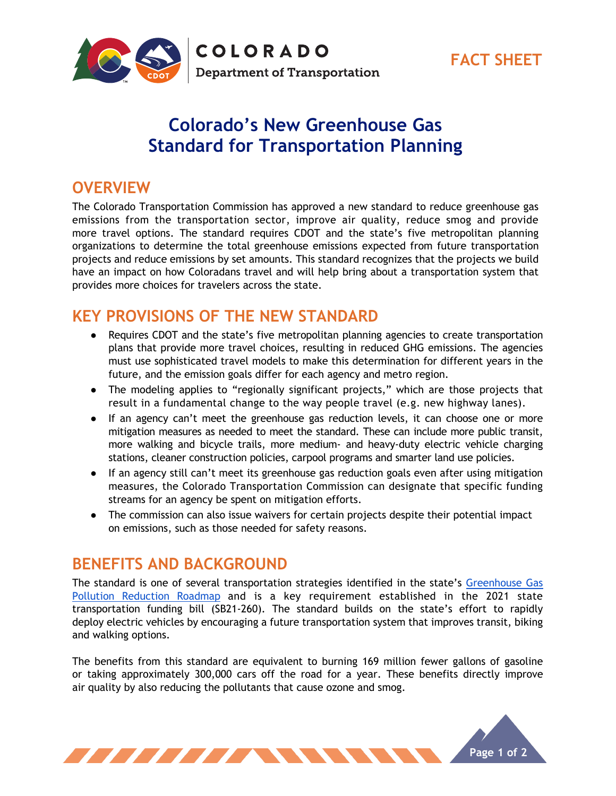

**COLORADO Department of Transportation** 

# **Colorado's New Greenhouse Gas Standard for Transportation Planning**

**FACT SHEET**

### **OVERVIEW**

The Colorado Transportation Commission has approved a new standard to reduce greenhouse gas emissions from the transportation sector, improve air quality, reduce smog and provide more travel options. The standard requires CDOT and the state's five metropolitan planning organizations to determine the total greenhouse emissions expected from future transportation projects and reduce emissions by set amounts. This standard recognizes that the projects we build have an impact on how Coloradans travel and will help bring about a transportation system that provides more choices for travelers across the state.

## **KEY PROVISIONS OF THE NEW STANDARD**

- Requires CDOT and the state's five metropolitan planning agencies to create transportation plans that provide more travel choices, resulting in reduced GHG emissions. The agencies must use sophisticated travel models to make this determination for different years in the future, and the emission goals differ for each agency and metro region.
- The modeling applies to "regionally significant projects," which are those projects that result in a fundamental change to the way people travel (e.g. new highway lanes).
- If an agency can't meet the greenhouse gas reduction levels, it can choose one or more mitigation measures as needed to meet the standard. These can include more public transit, more walking and bicycle trails, more medium- and heavy-duty electric vehicle charging stations, cleaner construction policies, carpool programs and smarter land use policies.
- If an agency still can't meet its greenhouse gas reduction goals even after using mitigation measures, the Colorado Transportation Commission can designate that specific funding streams for an agency be spent on mitigation efforts.
- The commission can also issue waivers for certain projects despite their potential impact on emissions, such as those needed for safety reasons.

### **BENEFITS AND BACKGROUND**

The standard is one of several transportation strategies identified in the state's Greenhouse Gas Pollution Reduction Roadmap and is a key requirement established in the 2021 state transportation funding bill (SB21-260). The standard builds on the state's effort to rapidly deploy electric vehicles by encouraging a future transportation system that improves transit, biking and walking options.

The benefits from this standard are equivalent to burning 169 million fewer gallons of gasoline or taking approximately 300,000 cars off the road for a year. These benefits directly improve air quality by also reducing the pollutants that cause ozone and smog.